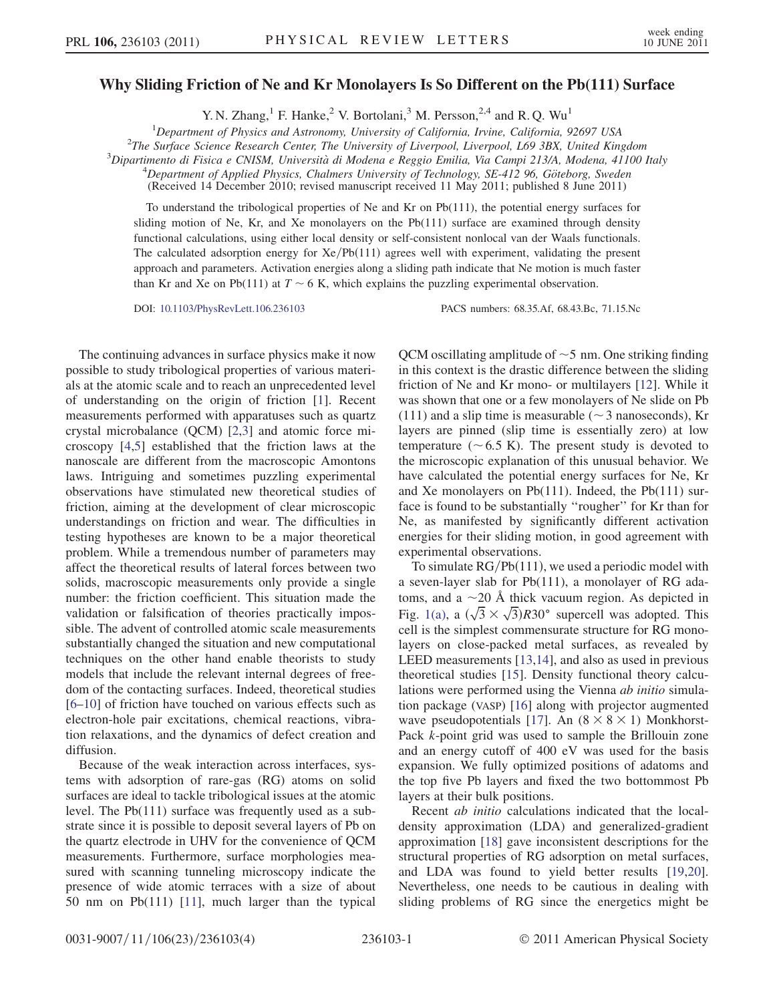## Why Sliding Friction of Ne and Kr Monolayers Is So Different on the Pb(111) Surface

Y. N. Zhang,<sup>1</sup> F. Hanke,<sup>2</sup> V. Bortolani,<sup>3</sup> M. Persson,<sup>2,4</sup> and R. Q. Wu<sup>1</sup>

<sup>1</sup>Department of Physics and Astronomy, University of California, Irvine, California, 92697 USA<br><sup>2</sup>The Surface Science Research Center. The University of Liverpool, Liverpool, L60, 3BY, United Kin

 $2$ The Surface Science Research Center, The University of Liverpool, Liverpool, L69 3BX, United Kingdom

 ${}^{3}$ Dipartimento di Fisica e CNISM, Università di Modena e Reggio Emilia, Via Campi 213/A, Modena, 41100 Italy

 $^{4}$ Department of Applied Physics, Chalmers University of Technology, SE-412 96, Göteborg, Sweden

(Received 14 December 2010; revised manuscript received 11 May 2011; published 8 June 2011)

To understand the tribological properties of Ne and Kr on Pb(111), the potential energy surfaces for sliding motion of Ne, Kr, and Xe monolayers on the  $Pb(111)$  surface are examined through density functional calculations, using either local density or self-consistent nonlocal van der Waals functionals. The calculated adsorption energy for  $Xe/Pb(111)$  agrees well with experiment, validating the present approach and parameters. Activation energies along a sliding path indicate that Ne motion is much faster than Kr and Xe on Pb(111) at  $T \sim 6$  K, which explains the puzzling experimental observation.

DOI: [10.1103/PhysRevLett.106.236103](http://dx.doi.org/10.1103/PhysRevLett.106.236103) PACS numbers: 68.35.Af, 68.43.Bc, 71.15.Nc

The continuing advances in surface physics make it now possible to study tribological properties of various materials at the atomic scale and to reach an unprecedented level of understanding on the origin of friction [[1](#page-3-0)]. Recent measurements performed with apparatuses such as quartz crystal microbalance (QCM) [[2](#page-3-1)[,3\]](#page-3-2) and atomic force microscopy [\[4,](#page-3-3)[5](#page-3-4)] established that the friction laws at the nanoscale are different from the macroscopic Amontons laws. Intriguing and sometimes puzzling experimental observations have stimulated new theoretical studies of friction, aiming at the development of clear microscopic understandings on friction and wear. The difficulties in testing hypotheses are known to be a major theoretical problem. While a tremendous number of parameters may affect the theoretical results of lateral forces between two solids, macroscopic measurements only provide a single number: the friction coefficient. This situation made the validation or falsification of theories practically impossible. The advent of controlled atomic scale measurements substantially changed the situation and new computational techniques on the other hand enable theorists to study models that include the relevant internal degrees of freedom of the contacting surfaces. Indeed, theoretical studies [\[6–](#page-3-5)[10](#page-3-6)] of friction have touched on various effects such as electron-hole pair excitations, chemical reactions, vibration relaxations, and the dynamics of defect creation and diffusion.

Because of the weak interaction across interfaces, systems with adsorption of rare-gas (RG) atoms on solid surfaces are ideal to tackle tribological issues at the atomic level. The Pb(111) surface was frequently used as a substrate since it is possible to deposit several layers of Pb on the quartz electrode in UHV for the convenience of QCM measurements. Furthermore, surface morphologies measured with scanning tunneling microscopy indicate the presence of wide atomic terraces with a size of about 50 nm on Pb(111) [[11\]](#page-3-7), much larger than the typical QCM oscillating amplitude of  $\sim$  5 nm. One striking finding in this context is the drastic difference between the sliding friction of Ne and Kr mono- or multilayers [\[12\]](#page-3-8). While it was shown that one or a few monolayers of Ne slide on Pb (111) and a slip time is measurable ( $\sim$  3 nanoseconds), Kr layers are pinned (slip time is essentially zero) at low temperature ( $\sim$  6.5 K). The present study is devoted to the microscopic explanation of this unusual behavior. We have calculated the potential energy surfaces for Ne, Kr and Xe monolayers on Pb(111). Indeed, the Pb(111) surface is found to be substantially ''rougher'' for Kr than for Ne, as manifested by significantly different activation energies for their sliding motion, in good agreement with experimental observations.

To simulate  $RG/Pb(111)$ , we used a periodic model with a seven-layer slab for Pb(111), a monolayer of RG adatoms, and a  $\sim$  20 Å thick vacuum region. As depicted in toms, and a  $\sim$ 20 A thick vacuum region. As depicted in Fig. [1\(a\)](#page-1-0), a  $(\sqrt{3} \times \sqrt{3})R30^{\circ}$  supercell was adopted. This cell is the simplest commensurate structure for RG monolayers on close-packed metal surfaces, as revealed by LEED measurements [[13](#page-3-9),[14](#page-3-10)], and also as used in previous theoretical studies [[15](#page-3-11)]. Density functional theory calculations were performed using the Vienna ab initio simulation package (VASP) [[16](#page-3-12)] along with projector augmented wave pseudopotentials [\[17\]](#page-3-13). An  $(8 \times 8 \times 1)$  Monkhorst-Pack k-point grid was used to sample the Brillouin zone and an energy cutoff of 400 eV was used for the basis expansion. We fully optimized positions of adatoms and the top five Pb layers and fixed the two bottommost Pb layers at their bulk positions.

Recent ab initio calculations indicated that the localdensity approximation (LDA) and generalized-gradient approximation [\[18\]](#page-3-14) gave inconsistent descriptions for the structural properties of RG adsorption on metal surfaces, and LDA was found to yield better results [\[19,](#page-3-15)[20\]](#page-3-16). Nevertheless, one needs to be cautious in dealing with sliding problems of RG since the energetics might be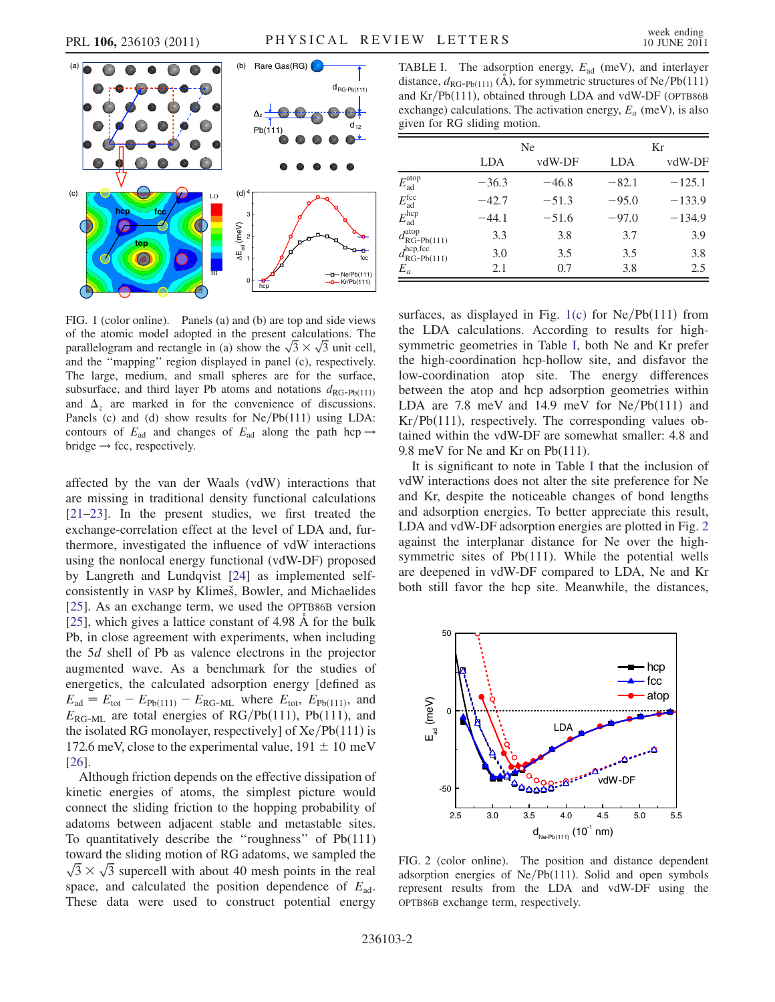

<span id="page-1-0"></span>FIG. 1 (color online). Panels (a) and (b) are top and side views of the atomic model adopted in the present calculations. The of the atomic model adopted in the present calculations. The parallelogram and rectangle in (a) show the  $\sqrt{3} \times \sqrt{3}$  unit cell, and the ''mapping'' region displayed in panel (c), respectively. The large, medium, and small spheres are for the surface, subsurface, and third layer Pb atoms and notations  $d_{\text{RG-Pb}(111)}$ and  $\Delta_z$  are marked in for the convenience of discussions. Panels (c) and (d) show results for  $Ne/Pb(111)$  using LDA: contours of  $E_{ad}$  and changes of  $E_{ad}$  along the path hcp  $\rightarrow$  $bridge \rightarrow fcc$ , respectively.

affected by the van der Waals (vdW) interactions that are missing in traditional density functional calculations [\[21–](#page-3-17)[23\]](#page-3-18). In the present studies, we first treated the exchange-correlation effect at the level of LDA and, furthermore, investigated the influence of vdW interactions using the nonlocal energy functional (vdW-DF) proposed by Langreth and Lundqvist [[24](#page-3-19)] as implemented selfconsistently in VASP by Klimeš, Bowler, and Michaelides [\[25\]](#page-3-20). As an exchange term, we used the OPTB86B version [\[25\]](#page-3-20), which gives a lattice constant of  $4.98 \text{ Å}$  for the bulk Pb, in close agreement with experiments, when including the 5d shell of Pb as valence electrons in the projector augmented wave. As a benchmark for the studies of energetics, the calculated adsorption energy [defined as  $E_{\text{ad}} = E_{\text{tot}} - E_{\text{Pb}(111)} - E_{\text{RG-ML}}$  where  $E_{\text{tot}}$ ,  $E_{\text{Pb}(111)}$ , and  $E_{\text{RG-ML}}$  are total energies of RG/Pb(111), Pb(111), and the isolated RG monolayer, respectively] of  $Xe/Pb(111)$  is 172.6 meV, close to the experimental value,  $191 \pm 10$  meV [\[26\]](#page-3-21).

Although friction depends on the effective dissipation of kinetic energies of atoms, the simplest picture would connect the sliding friction to the hopping probability of adatoms between adjacent stable and metastable sites. To quantitatively describe the ''roughness'' of Pb(111) toward the sliding motion of RG adatoms, we sampled the toward the sliding motion of RG adatoms, we sampled the  $\sqrt{3} \times \sqrt{3}$  supercell with about 40 mesh points in the real space, and calculated the position dependence of  $E_{ad}$ . These data were used to construct potential energy

<span id="page-1-1"></span>TABLE I. The adsorption energy,  $E_{ad}$  (meV), and interlayer distance,  $d_{\text{RG-Pb}(111)}$  (A), for symmetric structures of Ne/Pb(111) and  $Kr/Pb(111)$ , obtained through LDA and vdW-DF (OPTB86B exchange) calculations. The activation energy,  $E_a$  (meV), is also given for RG sliding motion.

|                                                 | Ne         |         | Kr      |          |
|-------------------------------------------------|------------|---------|---------|----------|
|                                                 | <b>LDA</b> | vdW-DF  | LDA     | vdW-DF   |
| $E_{\rm ad}^{\rm atop}$                         | $-36.3$    | $-46.8$ | $-82.1$ | $-125.1$ |
| $E_{\rm ad}^{\rm fcc}$                          | $-42.7$    | $-51.3$ | $-95.0$ | $-133.9$ |
| $E_{\rm ad}^{\rm hcp}$                          | $-44.1$    | $-51.6$ | $-97.0$ | $-134.9$ |
| $d_{\text{RG-Pb}(111)}^{\text{atop}}$           | 3.3        | 3.8     | 3.7     | 3.9      |
| $d_{\text{RG-Pb}(111)}^{\text{hcp},\text{fcc}}$ | 3.0        | 3.5     | 3.5     | 3.8      |
| $E_a$                                           | 2.1        | 0.7     | 3.8     | 2.5      |

surfaces, as displayed in Fig. [1\(c\)](#page-1-0) for  $Ne/Pb(111)$  from the LDA calculations. According to results for highsymmetric geometries in Table [I,](#page-1-1) both Ne and Kr prefer the high-coordination hcp-hollow site, and disfavor the low-coordination atop site. The energy differences between the atop and hcp adsorption geometries within LDA are  $7.8 \text{ meV}$  and  $14.9 \text{ meV}$  for  $Ne/Pb(111)$  and  $Kr/Pb(111)$ , respectively. The corresponding values obtained within the vdW-DF are somewhat smaller: 4.8 and 9.8 meV for Ne and Kr on Pb(111).

It is significant to note in Table [I](#page-1-1) that the inclusion of vdW interactions does not alter the site preference for Ne and Kr, despite the noticeable changes of bond lengths and adsorption energies. To better appreciate this result, LDA and vdW-DF adsorption energies are plotted in Fig. [2](#page-1-2) against the interplanar distance for Ne over the highsymmetric sites of Pb(111). While the potential wells are deepened in vdW-DF compared to LDA, Ne and Kr both still favor the hcp site. Meanwhile, the distances,

<span id="page-1-2"></span>

FIG. 2 (color online). The position and distance dependent adsorption energies of  $Ne/Pb(111)$ . Solid and open symbols represent results from the LDA and vdW-DF using the OPTB86B exchange term, respectively.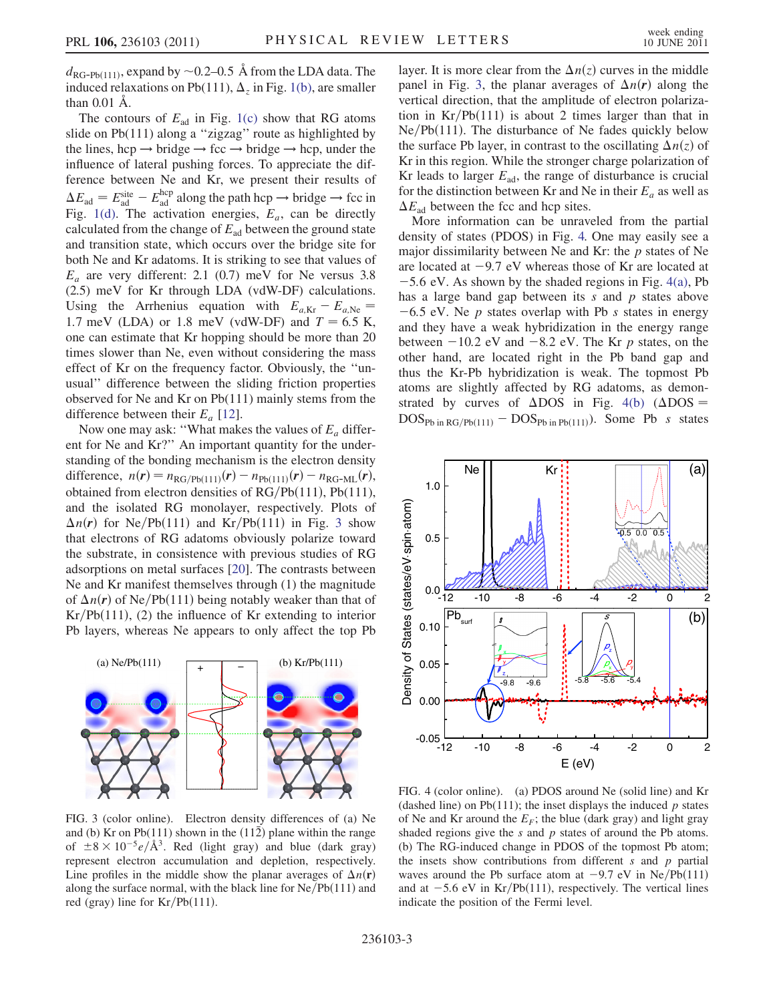$d_{\text{RG-Ph}(111)}$ , expand by  $\sim$  0.2–0.5 Å from the LDA data. The induced relaxations on Pb(111),  $\Delta_z$  in Fig. [1\(b\)](#page-1-0), are smaller than  $0.01$   $\AA$ .

The contours of  $E_{ad}$  in Fig. [1\(c\)](#page-1-0) show that RG atoms slide on Pb(111) along a "zigzag" route as highlighted by the lines, hcp  $\rightarrow$  bridge  $\rightarrow$  fcc  $\rightarrow$  bridge  $\rightarrow$  hcp, under the influence of lateral pushing forces. To appreciate the difference between Ne and Kr, we present their results of  $\Delta E_{\text{ad}} = E_{\text{ad}}^{\text{site}} - E_{\text{ad}}^{\text{hcp}}$  along the path hcp  $\rightarrow$  bridge  $\rightarrow$  fcc in Fig. [1\(d\)](#page-1-0). The activation energies,  $E_a$ , can be directly calculated from the change of  $E_{ad}$  between the ground state and transition state, which occurs over the bridge site for both Ne and Kr adatoms. It is striking to see that values of  $E_a$  are very different: 2.1 (0.7) meV for Ne versus 3.8 (2.5) meV for Kr through LDA (vdW-DF) calculations. Using the Arrhenius equation with  $E_{a,Kr} - E_{a,Ne} =$ 1.7 meV (LDA) or 1.8 meV (vdW-DF) and  $T = 6.5$  K, one can estimate that Kr hopping should be more than 20 times slower than Ne, even without considering the mass effect of Kr on the frequency factor. Obviously, the ''unusual'' difference between the sliding friction properties observed for Ne and Kr on Pb(111) mainly stems from the difference between their  $E_a$  [[12](#page-3-8)].

Now one may ask: "What makes the values of  $E_a$  different for Ne and Kr?'' An important quantity for the understanding of the bonding mechanism is the electron density difference,  $n(r) = n_{\text{RG/Pb}(111)}(r) - n_{\text{Pb}(111)}(r) - n_{\text{RG-ML}}(r)$ , obtained from electron densities of  $RG/Pb(111)$ , Pb(111), and the isolated RG monolayer, respectively. Plots of  $\Delta n(r)$  for Ne/Pb(111) and Kr/Pb(111) in Fig. [3](#page-2-0) show that electrons of RG adatoms obviously polarize toward the substrate, in consistence with previous studies of RG adsorptions on metal surfaces [\[20\]](#page-3-16). The contrasts between Ne and Kr manifest themselves through (1) the magnitude of  $\Delta n(r)$  of Ne/Pb(111) being notably weaker than that of  $Kr/Pb(111)$ , (2) the influence of Kr extending to interior Pb layers, whereas Ne appears to only affect the top Pb

<span id="page-2-0"></span>

FIG. 3 (color online). Electron density differences of (a) Ne and (b) Kr on Pb(111) shown in the  $(11\overline{2})$  plane within the range of  $\pm 8 \times 10^{-5} e/\text{\AA}^3$ . Red (light gray) and blue (dark gray) represent electron accumulation and depletion, respectively. Line profiles in the middle show the planar averages of  $\Delta n(\mathbf{r})$ along the surface normal, with the black line for  $Ne/Pb(111)$  and red (gray) line for  $Kr/Pb(111)$ .

layer. It is more clear from the  $\Delta n(z)$  curves in the middle panel in Fig. [3,](#page-2-0) the planar averages of  $\Delta n(r)$  along the vertical direction, that the amplitude of electron polarization in  $Kr/Pb(111)$  is about 2 times larger than that in  $Ne/Pb(111)$ . The disturbance of Ne fades quickly below the surface Pb layer, in contrast to the oscillating  $\Delta n(z)$  of Kr in this region. While the stronger charge polarization of Kr leads to larger  $E_{ad}$ , the range of disturbance is crucial for the distinction between Kr and Ne in their  $E_a$  as well as  $\Delta E_{\text{ad}}$  between the fcc and hcp sites.

More information can be unraveled from the partial density of states (PDOS) in Fig. [4.](#page-2-1) One may easily see a major dissimilarity between Ne and Kr: the  $p$  states of Ne are located at  $-9.7$  eV whereas those of Kr are located at  $-5.6$  eV. As shown by the shaded regions in Fig. [4\(a\),](#page-2-2) Pb has a large band gap between its  $s$  and  $p$  states above  $-6.5$  eV. Ne p states overlap with Pb s states in energy and they have a weak hybridization in the energy range between  $-10.2$  eV and  $-8.2$  eV. The Kr p states, on the other hand, are located right in the Pb band gap and thus the Kr-Pb hybridization is weak. The topmost Pb atoms are slightly affected by RG adatoms, as demonstrated by curves of  $\triangle DOS$  in Fig. [4\(b\)](#page-2-2) ( $\triangle DOS$  $DOS_{Pb \text{ in } RG/Pb(111)} - DOS_{Pb \text{ in } Pb(111)}$ . Some Pb s states

<span id="page-2-1"></span>

<span id="page-2-2"></span>FIG. 4 (color online). (a) PDOS around Ne (solid line) and Kr (dashed line) on Pb(111); the inset displays the induced  $p$  states of Ne and Kr around the  $E_F$ ; the blue (dark gray) and light gray shaded regions give the  $s$  and  $p$  states of around the Pb atoms. (b) The RG-induced change in PDOS of the topmost Pb atom; the insets show contributions from different  $s$  and  $p$  partial waves around the Pb surface atom at  $-9.7$  eV in Ne/Pb $(111)$ and at  $-5.6$  eV in Kr/Pb $(111)$ , respectively. The vertical lines indicate the position of the Fermi level.